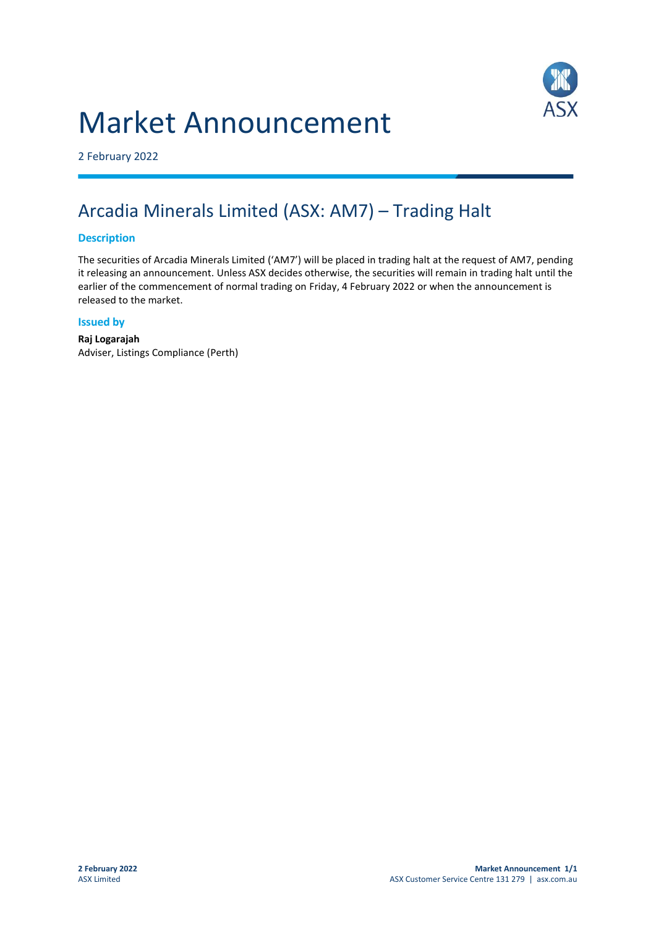# Market Announcement



2 February 2022

## Arcadia Minerals Limited (ASX: AM7) – Trading Halt

### **Description**

The securities of Arcadia Minerals Limited ('AM7') will be placed in trading halt at the request of AM7, pending it releasing an announcement. Unless ASX decides otherwise, the securities will remain in trading halt until the earlier of the commencement of normal trading on Friday, 4 February 2022 or when the announcement is released to the market.

#### **Issued by**

**Raj Logarajah** Adviser, Listings Compliance (Perth)